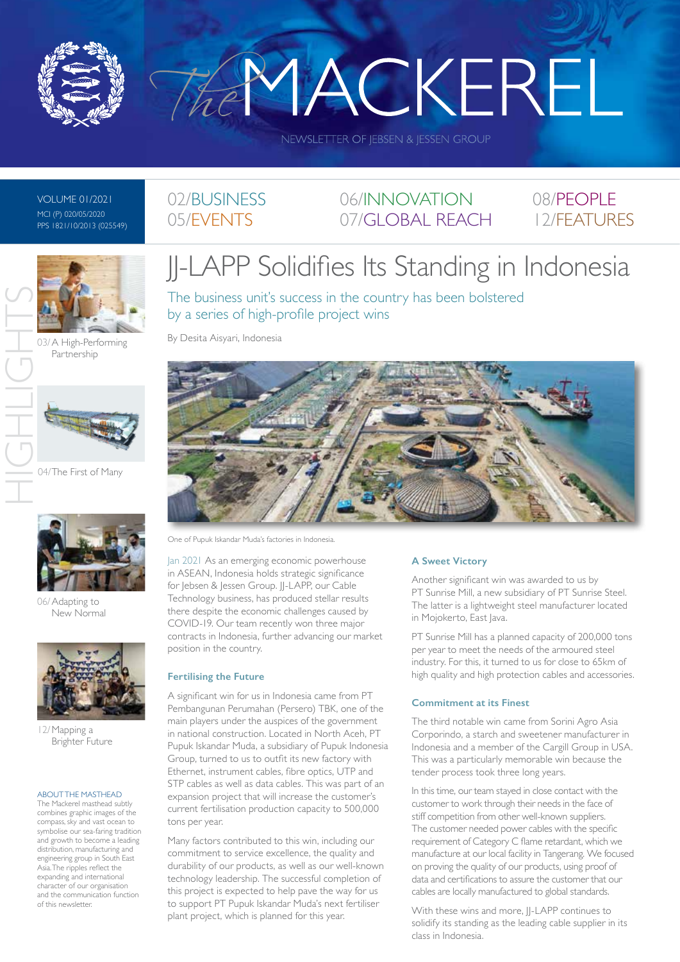

THEMACKEREL

NEWSLETTER OF JEBSEN & JESSEN GROUP

VOLUME 01/2021 MCI (P) 020/05/2020 PPS 1821/10/2013 (025549)



03/ A High-Performing Partnership



04/The First of Many



06/Adapting to New Normal



12/Mapping a Brighter Future

#### ABOUT THE MASTHEAD

The Mackerel masthead subtly combines graphic images of the compass, sky and vast ocean to symbolise our sea-faring tradition and growth to become a leading distribution, manufacturing and engineering group in South East Asia. The ripples reflect the expanding and international character of our organisation and the communication function of this newsletter.

# JJ-LAPP Solidifies Its Standing in Indonesia

06/INNOVATION 07/GLOBAL REACH

The business unit's success in the country has been bolstered by a series of high-profile project wins

By Desita Aisyari, Indonesia

02/BUSINESS 05/EVENTS



One of Pupuk Iskandar Muda's factories in Indonesia.

Jan 2021 As an emerging economic powerhouse in ASEAN, Indonesia holds strategic significance for Jebsen & Jessen Group. JJ-LAPP, our Cable Technology business, has produced stellar results there despite the economic challenges caused by COVID-19. Our team recently won three major contracts in Indonesia, further advancing our market position in the country.

#### **Fertilising the Future**

A significant win for us in Indonesia came from PT Pembangunan Perumahan (Persero) TBK, one of the main players under the auspices of the government in national construction. Located in North Aceh, PT Pupuk Iskandar Muda, a subsidiary of Pupuk Indonesia Group, turned to us to outfit its new factory with Ethernet, instrument cables, fibre optics, UTP and STP cables as well as data cables. This was part of an expansion project that will increase the customer's current fertilisation production capacity to 500,000 tons per year.

Many factors contributed to this win, including our commitment to service excellence, the quality and durability of our products, as well as our well-known technology leadership. The successful completion of this project is expected to help pave the way for us to support PT Pupuk Iskandar Muda's next fertiliser plant project, which is planned for this year.

#### **A Sweet Victory**

Another significant win was awarded to us by PT Sunrise Mill, a new subsidiary of PT Sunrise Steel. The latter is a lightweight steel manufacturer located in Mojokerto, East Java.

08/PEOPLE 12/FEATURES

PT Sunrise Mill has a planned capacity of 200,000 tons per year to meet the needs of the armoured steel industry. For this, it turned to us for close to 65km of high quality and high protection cables and accessories.

#### **Commitment at its Finest**

The third notable win came from Sorini Agro Asia Corporindo, a starch and sweetener manufacturer in Indonesia and a member of the Cargill Group in USA. This was a particularly memorable win because the tender process took three long years.

In this time, our team stayed in close contact with the customer to work through their needs in the face of stiff competition from other well-known suppliers. The customer needed power cables with the specific requirement of Category C flame retardant, which we manufacture at our local facility in Tangerang. We focused on proving the quality of our products, using proof of data and certifications to assure the customer that our cables are locally manufactured to global standards.

With these wins and more, II-LAPP continues to solidify its standing as the leading cable supplier in its class in Indonesia.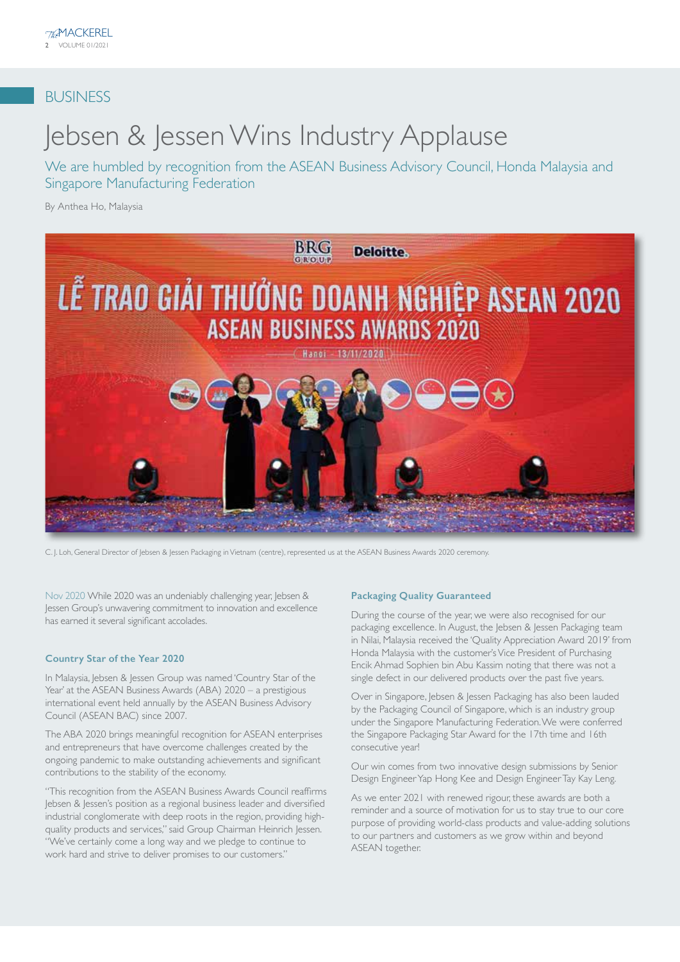## BUSINESS

# Jebsen & Jessen Wins Industry Applause

We are humbled by recognition from the ASEAN Business Advisory Council, Honda Malaysia and Singapore Manufacturing Federation

By Anthea Ho, Malaysia



C. J. Loh, General Director of Jebsen & Jessen Packaging in Vietnam (centre), represented us at the ASEAN Business Awards 2020 ceremony.

Nov 2020 While 2020 was an undeniably challenging year, Jebsen & Jessen Group's unwavering commitment to innovation and excellence has earned it several significant accolades.

#### **Country Star of the Year 2020**

In Malaysia, Jebsen & Jessen Group was named 'Country Star of the Year' at the ASEAN Business Awards (ABA) 2020 – a prestigious international event held annually by the ASEAN Business Advisory Council (ASEAN BAC) since 2007.

The ABA 2020 brings meaningful recognition for ASEAN enterprises and entrepreneurs that have overcome challenges created by the ongoing pandemic to make outstanding achievements and significant contributions to the stability of the economy.

"This recognition from the ASEAN Business Awards Council reaffirms Jebsen & Jessen's position as a regional business leader and diversified industrial conglomerate with deep roots in the region, providing highquality products and services," said Group Chairman Heinrich Jessen. "We've certainly come a long way and we pledge to continue to work hard and strive to deliver promises to our customers."

#### **Packaging Quality Guaranteed**

During the course of the year, we were also recognised for our packaging excellence. In August, the Jebsen & Jessen Packaging team in Nilai, Malaysia received the 'Quality Appreciation Award 2019' from Honda Malaysia with the customer's Vice President of Purchasing Encik Ahmad Sophien bin Abu Kassim noting that there was not a single defect in our delivered products over the past five years.

Over in Singapore, Jebsen & Jessen Packaging has also been lauded by the Packaging Council of Singapore, which is an industry group under the Singapore Manufacturing Federation. We were conferred the Singapore Packaging Star Award for the 17th time and 16th consecutive year!

Our win comes from two innovative design submissions by Senior Design Engineer Yap Hong Kee and Design Engineer Tay Kay Leng.

As we enter 2021 with renewed rigour, these awards are both a reminder and a source of motivation for us to stay true to our core purpose of providing world-class products and value-adding solutions to our partners and customers as we grow within and beyond ASEAN together.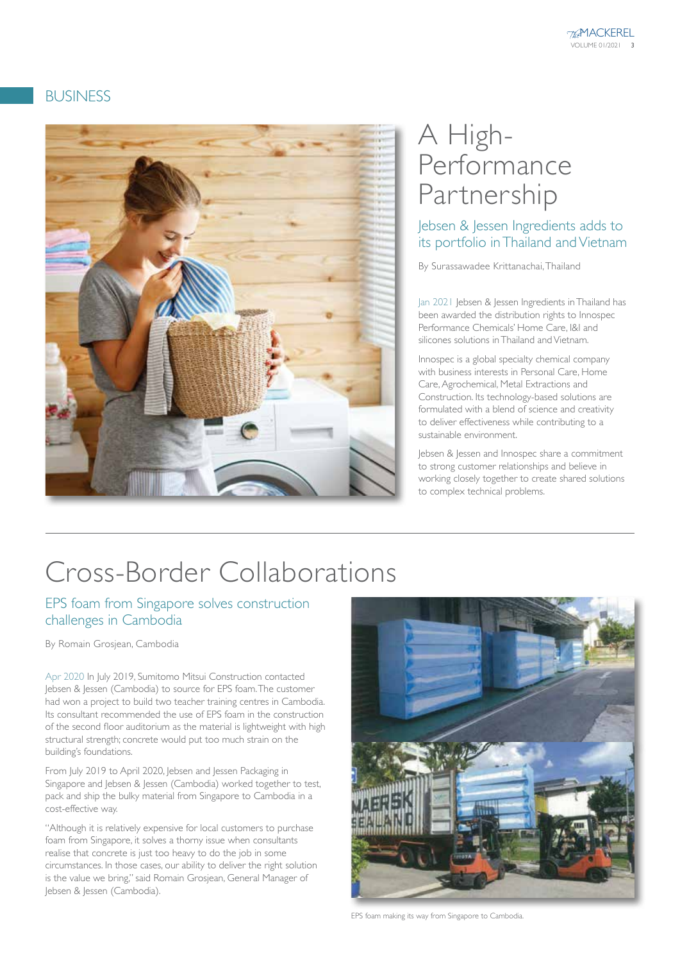## BUSINESS



# A High-Performance Partnership

Jebsen & Jessen Ingredients adds to its portfolio in Thailand and Vietnam

By Surassawadee Krittanachai, Thailand

Jan 2021 Jebsen & Jessen Ingredients in Thailand has been awarded the distribution rights to Innospec Performance Chemicals' Home Care, I&I and silicones solutions in Thailand and Vietnam.

Innospec is a global specialty chemical company with business interests in Personal Care, Home Care, Agrochemical, Metal Extractions and Construction. Its technology-based solutions are formulated with a blend of science and creativity to deliver effectiveness while contributing to a sustainable environment.

Jebsen & Jessen and Innospec share a commitment to strong customer relationships and believe in working closely together to create shared solutions to complex technical problems.

# Cross-Border Collaborations

#### EPS foam from Singapore solves construction challenges in Cambodia

By Romain Grosjean, Cambodia

Apr 2020 In July 2019, Sumitomo Mitsui Construction contacted Jebsen & Jessen (Cambodia) to source for EPS foam. The customer had won a project to build two teacher training centres in Cambodia. Its consultant recommended the use of EPS foam in the construction of the second floor auditorium as the material is lightweight with high structural strength; concrete would put too much strain on the building's foundations.

From July 2019 to April 2020, Jebsen and Jessen Packaging in Singapore and Jebsen & Jessen (Cambodia) worked together to test, pack and ship the bulky material from Singapore to Cambodia in a cost-effective way.

"Although it is relatively expensive for local customers to purchase foam from Singapore, it solves a thorny issue when consultants realise that concrete is just too heavy to do the job in some circumstances. In those cases, our ability to deliver the right solution is the value we bring," said Romain Grosjean, General Manager of Jebsen & Jessen (Cambodia).



EPS foam making its way from Singapore to Cambodia.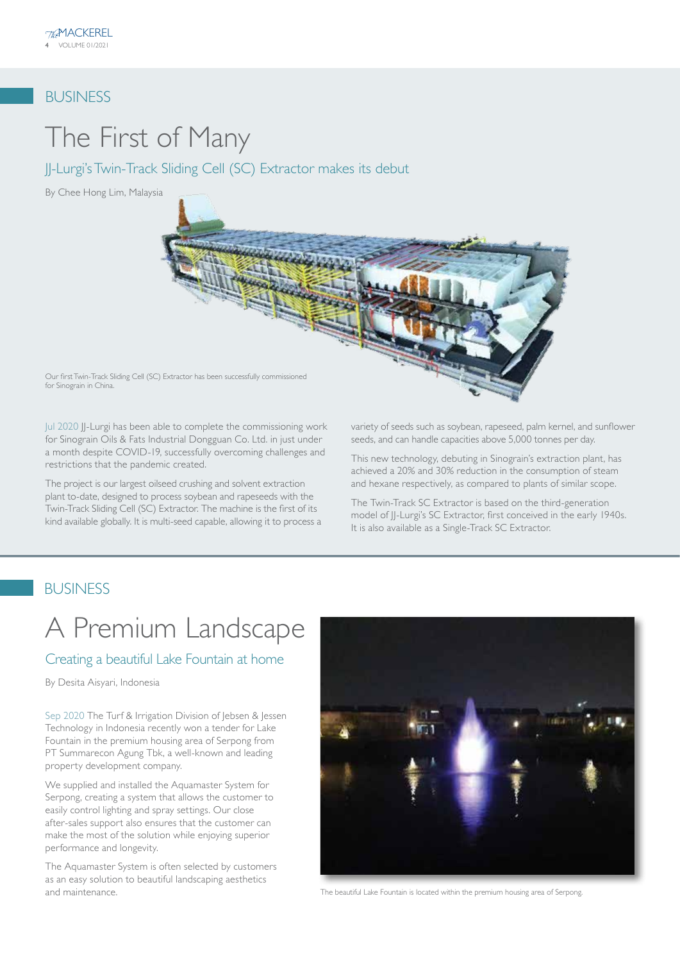### BUSINESS

# The First of Many

JJ-Lurgi's Twin-Track Sliding Cell (SC) Extractor makes its debut

By Chee Hong Lim, Malaysia



Jul 2020 JJ-Lurgi has been able to complete the commissioning work for Sinograin Oils & Fats Industrial Dongguan Co. Ltd. in just under a month despite COVID-19, successfully overcoming challenges and restrictions that the pandemic created.

The project is our largest oilseed crushing and solvent extraction plant to-date, designed to process soybean and rapeseeds with the Twin-Track Sliding Cell (SC) Extractor. The machine is the first of its kind available globally. It is multi-seed capable, allowing it to process a variety of seeds such as soybean, rapeseed, palm kernel, and sunflower seeds, and can handle capacities above 5,000 tonnes per day.

This new technology, debuting in Sinograin's extraction plant, has achieved a 20% and 30% reduction in the consumption of steam and hexane respectively, as compared to plants of similar scope.

The Twin-Track SC Extractor is based on the third-generation model of II-Lurgi's SC Extractor, first conceived in the early 1940s. It is also available as a Single-Track SC Extractor.

### BUSINESS

for Sinograin in China.

# A Premium Landscape

#### Creating a beautiful Lake Fountain at home

By Desita Aisyari, Indonesia

Sep 2020 The Turf & Irrigation Division of Jebsen & Jessen Technology in Indonesia recently won a tender for Lake Fountain in the premium housing area of Serpong from PT Summarecon Agung Tbk, a well-known and leading property development company.

We supplied and installed the Aquamaster System for Serpong, creating a system that allows the customer to easily control lighting and spray settings. Our close after-sales support also ensures that the customer can make the most of the solution while enjoying superior performance and longevity.

The Aquamaster System is often selected by customers as an easy solution to beautiful landscaping aesthetics and maintenance. The beautiful Lake Fountain is located within the premium housing area of Serpong.

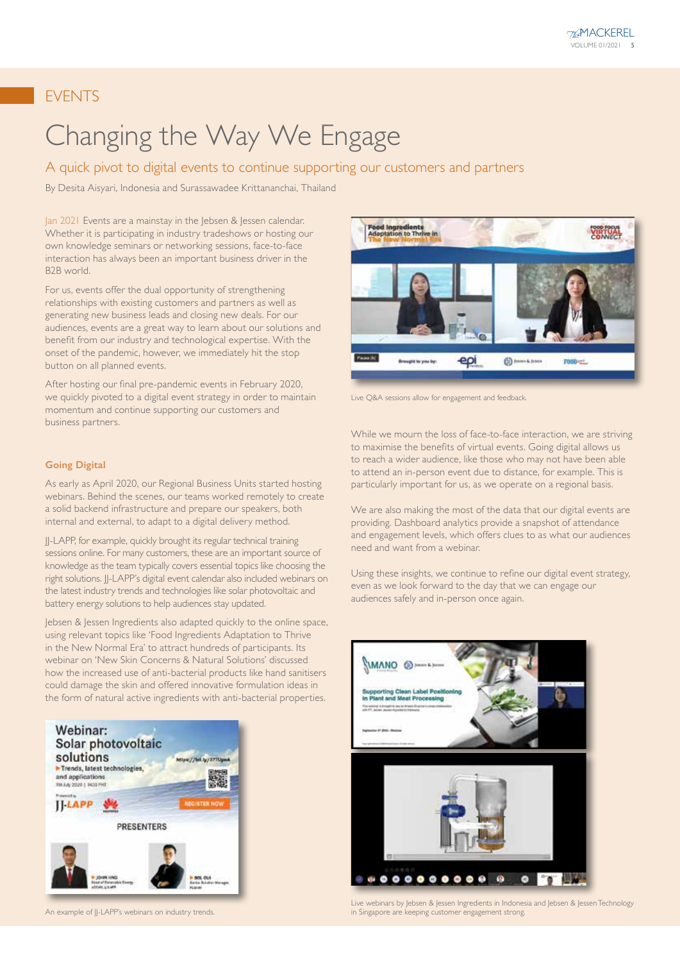## EVENTS

# Changing the Way We Engage

#### A quick pivot to digital events to continue supporting our customers and partners

By Desita Aisyari, Indonesia and Surassawadee Krittananchai, Thailand

Jan 2021 Events are a mainstay in the Jebsen & Jessen calendar. Whether it is participating in industry tradeshows or hosting our own knowledge seminars or networking sessions, face-to-face interaction has always been an important business driver in the B2B world.

For us, events offer the dual opportunity of strengthening relationships with existing customers and partners as well as generating new business leads and closing new deals. For our audiences, events are a great way to learn about our solutions and benefit from our industry and technological expertise. With the onset of the pandemic, however, we immediately hit the stop button on all planned events.

After hosting our final pre-pandemic events in February 2020, we quickly pivoted to a digital event strategy in order to maintain momentum and continue supporting our customers and business partners.

#### **Going Digital**

As early as April 2020, our Regional Business Units started hosting webinars. Behind the scenes, our teams worked remotely to create a solid backend infrastructure and prepare our speakers, both internal and external, to adapt to a digital delivery method.

JJ-LAPP, for example, quickly brought its regular technical training sessions online. For many customers, these are an important source of knowledge as the team typically covers essential topics like choosing the right solutions. JJ-LAPP's digital event calendar also included webinars on the latest industry trends and technologies like solar photovoltaic and battery energy solutions to help audiences stay updated.

Jebsen & Jessen Ingredients also adapted quickly to the online space, using relevant topics like 'Food Ingredients Adaptation to Thrive in the New Normal Era' to attract hundreds of participants. Its webinar on 'New Skin Concerns & Natural Solutions' discussed how the increased use of anti-bacterial products like hand sanitisers could damage the skin and offered innovative formulation ideas in the form of natural active ingredients with anti-bacterial properties.



An example of JJ-LAPP's webinars on industry trends.



Live Q&A sessions allow for engagement and feedback.

While we mourn the loss of face-to-face interaction, we are striving to maximise the benefits of virtual events. Going digital allows us to reach a wider audience, like those who may not have been able to attend an in-person event due to distance, for example. This is particularly important for us, as we operate on a regional basis.

We are also making the most of the data that our digital events are providing. Dashboard analytics provide a snapshot of attendance and engagement levels, which offers clues to as what our audiences need and want from a webinar.

Using these insights, we continue to refine our digital event strategy, even as we look forward to the day that we can engage our audiences safely and in-person once again.



Live webinars by Jebsen & Jessen Ingredients in Indonesia and Jebsen & Jessen Technology in Singapore are keeping customer engagement strong.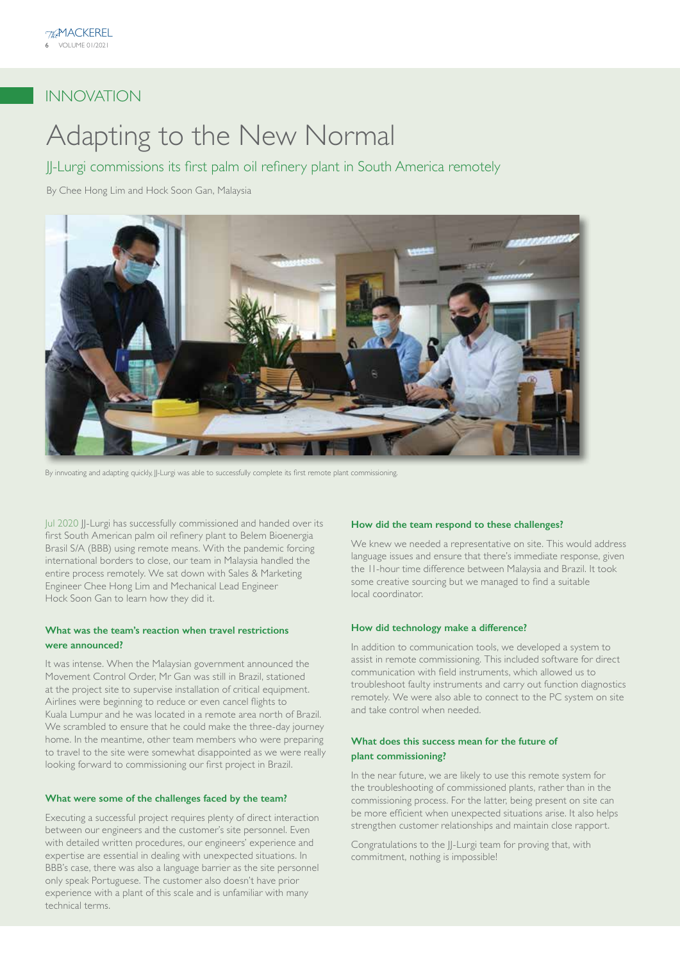## INNOVATION

# Adapting to the New Normal

JJ-Lurgi commissions its first palm oil refinery plant in South America remotely

By Chee Hong Lim and Hock Soon Gan, Malaysia



By innvoating and adapting quickly, JJ-Lurgi was able to successfully complete its first remote plant commissioning.

Jul 2020 JJ-Lurgi has successfully commissioned and handed over its first South American palm oil refinery plant to Belem Bioenergia Brasil S/A (BBB) using remote means. With the pandemic forcing international borders to close, our team in Malaysia handled the entire process remotely. We sat down with Sales & Marketing Engineer Chee Hong Lim and Mechanical Lead Engineer Hock Soon Gan to learn how they did it.

#### **What was the team's reaction when travel restrictions were announced?**

It was intense. When the Malaysian government announced the Movement Control Order, Mr Gan was still in Brazil, stationed at the project site to supervise installation of critical equipment. Airlines were beginning to reduce or even cancel flights to Kuala Lumpur and he was located in a remote area north of Brazil. We scrambled to ensure that he could make the three-day journey home. In the meantime, other team members who were preparing to travel to the site were somewhat disappointed as we were really looking forward to commissioning our first project in Brazil.

#### **What were some of the challenges faced by the team?**

Executing a successful project requires plenty of direct interaction between our engineers and the customer's site personnel. Even with detailed written procedures, our engineers' experience and expertise are essential in dealing with unexpected situations. In BBB's case, there was also a language barrier as the site personnel only speak Portuguese. The customer also doesn't have prior experience with a plant of this scale and is unfamiliar with many technical terms.

#### **How did the team respond to these challenges?**

We knew we needed a representative on site. This would address language issues and ensure that there's immediate response, given the 11-hour time difference between Malaysia and Brazil. It took some creative sourcing but we managed to find a suitable local coordinator.

#### **How did technology make a difference?**

In addition to communication tools, we developed a system to assist in remote commissioning. This included software for direct communication with field instruments, which allowed us to troubleshoot faulty instruments and carry out function diagnostics remotely. We were also able to connect to the PC system on site and take control when needed.

#### **What does this success mean for the future of plant commissioning?**

In the near future, we are likely to use this remote system for the troubleshooting of commissioned plants, rather than in the commissioning process. For the latter, being present on site can be more efficient when unexpected situations arise. It also helps strengthen customer relationships and maintain close rapport.

Congratulations to the JJ-Lurgi team for proving that, with commitment, nothing is impossible!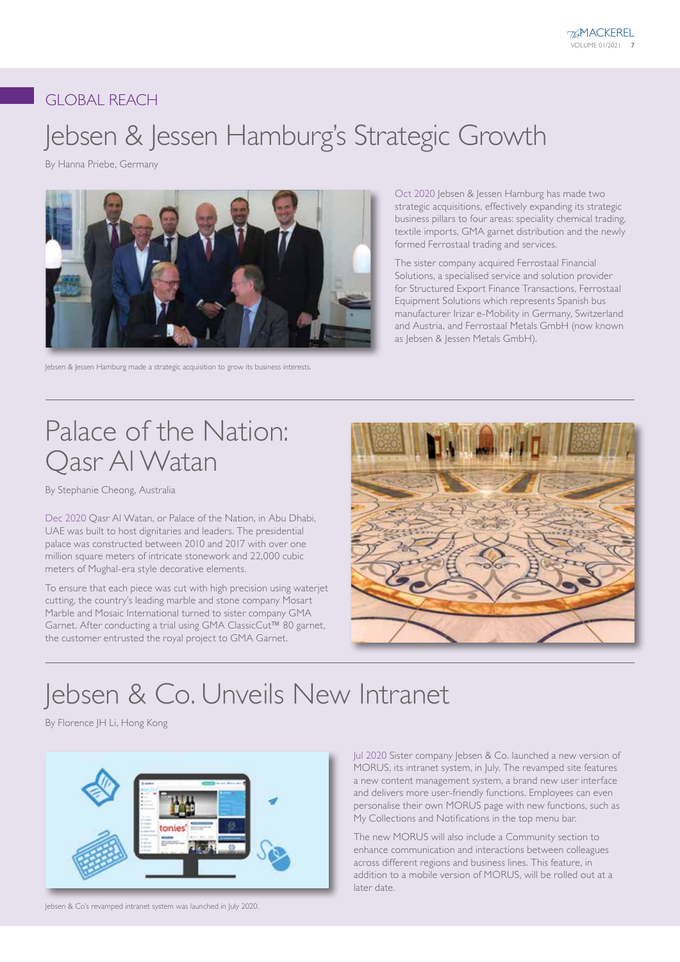## GLOBAL REACH

# Jebsen & Jessen Hamburg's Strategic Growth

By Hanna Priebe, Germany



Jebsen & Jessen Hamburg made a strategic acquisition to grow its business interests.

Oct 2020 Jebsen & Jessen Hamburg has made two strategic acquisitions, effectively expanding its strategic business pillars to four areas: speciality chemical trading, textile imports, GMA garnet distribution and the newly formed Ferrostaal trading and services.

The sister company acquired Ferrostaal Financial Solutions, a specialised service and solution provider for Structured Export Finance Transactions, Ferrostaal Equipment Solutions which represents Spanish bus manufacturer Irizar e-Mobility in Germany, Switzerland and Austria, and Ferrostaal Metals GmbH (now known as Jebsen & Jessen Metals GmbH).

# Palace of the Nation: Qasr Al Watan

By Stephanie Cheong, Australia

Dec 2020 Qasr Al Watan, or Palace of the Nation, in Abu Dhabi, UAE was built to host dignitaries and leaders. The presidential palace was constructed between 2010 and 2017 with over one million square meters of intricate stonework and 22,000 cubic meters of Mughal-era style decorative elements.

To ensure that each piece was cut with high precision using waterjet cutting, the country's leading marble and stone company Mosart Marble and Mosaic International turned to sister company GMA Garnet. After conducting a trial using GMA ClassicCut™ 80 garnet, the customer entrusted the royal project to GMA Garnet.



# Jebsen & Co. Unveils New Intranet

By Florence JH Li, Hong Kong



Jebsen & Co's revamped intranet system was launched in July 2020.

Jul 2020 Sister company Jebsen & Co. launched a new version of MORUS, its intranet system, in July. The revamped site features a new content management system, a brand new user interface and delivers more user-friendly functions. Employees can even personalise their own MORUS page with new functions, such as My Collections and Notifications in the top menu bar.

The new MORUS will also include a Community section to enhance communication and interactions between colleagues across different regions and business lines. This feature, in addition to a mobile version of MORUS, will be rolled out at a later date.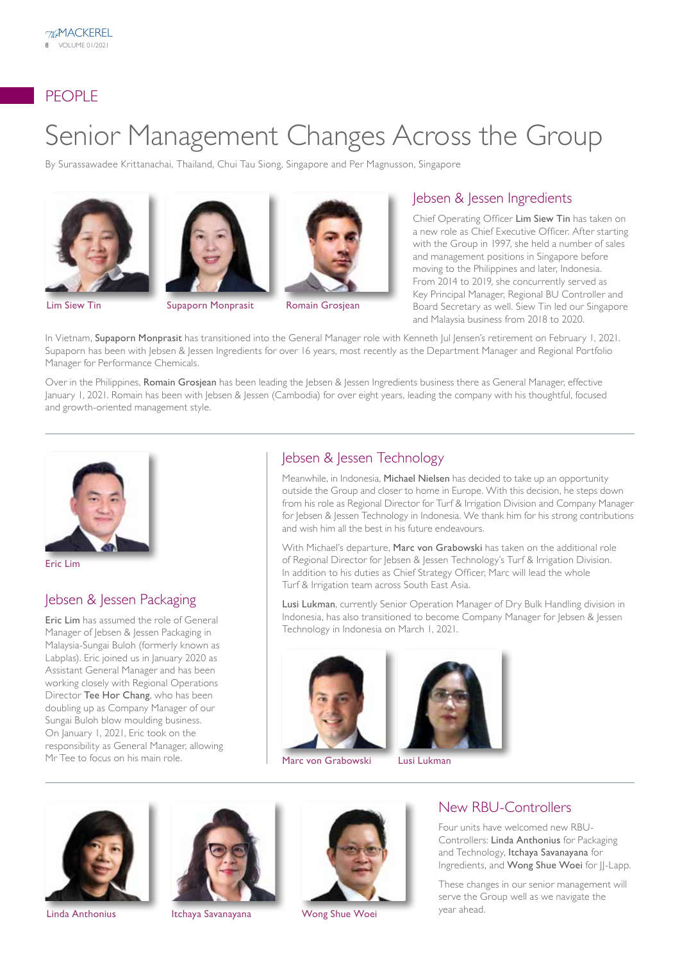## PEOPLE

# Senior Management Changes Across the Group

By Surassawadee Krittanachai, Thailand, Chui Tau Siong, Singapore and Per Magnusson, Singapore





**Lim Siew Tin Supaporn Monprasit** Romain Grosjean



#### Jebsen & Jessen Ingredients

Chief Operating Officer Lim Siew Tin has taken on a new role as Chief Executive Officer. After starting with the Group in 1997, she held a number of sales and management positions in Singapore before moving to the Philippines and later, Indonesia. From 2014 to 2019, she concurrently served as Key Principal Manager, Regional BU Controller and Board Secretary as well. Siew Tin led our Singapore and Malaysia business from 2018 to 2020.

In Vietnam, Supaporn Monprasit has transitioned into the General Manager role with Kenneth Jul Jensen's retirement on February 1, 2021. Supaporn has been with Jebsen & Jessen Ingredients for over 16 years, most recently as the Department Manager and Regional Portfolio Manager for Performance Chemicals.

Over in the Philippines, Romain Grosjean has been leading the Jebsen & Jessen Ingredients business there as General Manager, effective January 1, 2021. Romain has been with Jebsen & Jessen (Cambodia) for over eight years, leading the company with his thoughtful, focused and growth-oriented management style.



Eric Lim

### Jebsen & Jessen Packaging

Eric Lim has assumed the role of General Manager of Jebsen & Jessen Packaging in Malaysia-Sungai Buloh (formerly known as Labplas). Eric joined us in January 2020 as Assistant General Manager and has been working closely with Regional Operations Director Tee Hor Chang, who has been doubling up as Company Manager of our Sungai Buloh blow moulding business. On January 1, 2021, Eric took on the responsibility as General Manager, allowing Mr Tee to focus on his main role.

## Jebsen & Jessen Technology

Meanwhile, in Indonesia, Michael Nielsen has decided to take up an opportunity outside the Group and closer to home in Europe. With this decision, he steps down from his role as Regional Director for Turf & Irrigation Division and Company Manager for Jebsen & Jessen Technology in Indonesia. We thank him for his strong contributions and wish him all the best in his future endeavours.

With Michael's departure, Marc von Grabowski has taken on the additional role of Regional Director for Jebsen & Jessen Technology's Turf & Irrigation Division. In addition to his duties as Chief Strategy Officer, Marc will lead the whole Turf & Irrigation team across South East Asia.

Lusi Lukman, currently Senior Operation Manager of Dry Bulk Handling division in Indonesia, has also transitioned to become Company Manager for Jebsen & Jessen Technology in Indonesia on March 1, 2021.



Marc von Grabowski Lusi Lukman









#### New RBU-Controllers

Four units have welcomed new RBU-Controllers: Linda Anthonius for Packaging and Technology, Itchaya Savanayana for Ingredients, and Wong Shue Woei for JJ-Lapp.

These changes in our senior management will serve the Group well as we navigate the year ahead.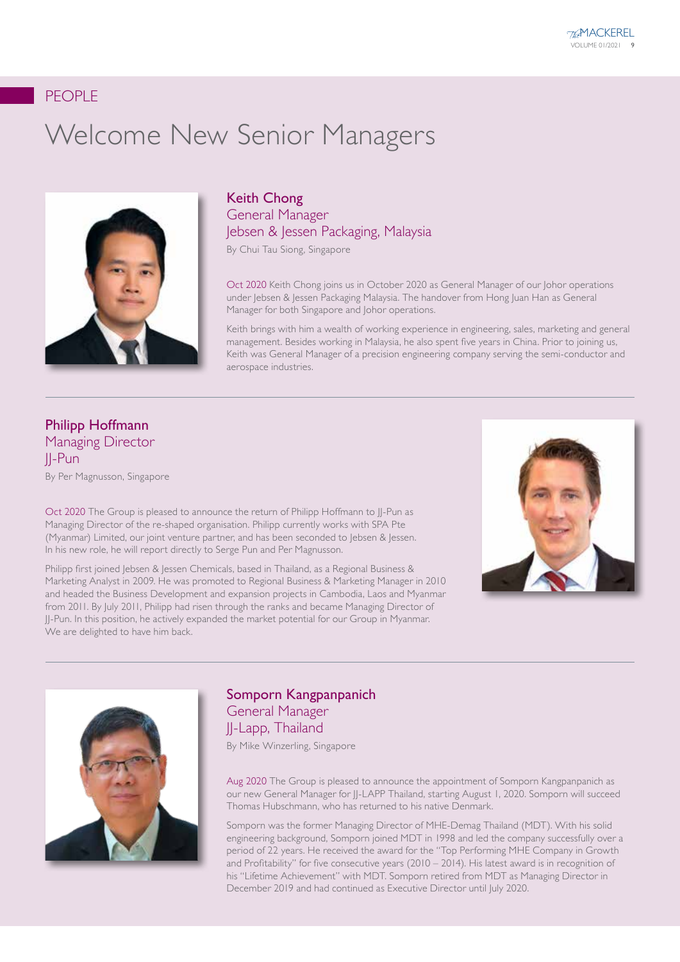## PEOPLE

# Welcome New Senior Managers



## Keith Chong General Manager Jebsen & Jessen Packaging, Malaysia

By Chui Tau Siong, Singapore

Oct 2020 Keith Chong joins us in October 2020 as General Manager of our Johor operations under Jebsen & Jessen Packaging Malaysia. The handover from Hong Juan Han as General Manager for both Singapore and Johor operations.

Keith brings with him a wealth of working experience in engineering, sales, marketing and general management. Besides working in Malaysia, he also spent five years in China. Prior to joining us, Keith was General Manager of a precision engineering company serving the semi-conductor and aerospace industries.

## Philipp Hoffmann Managing Director JJ-Pun

By Per Magnusson, Singapore

Oct 2020 The Group is pleased to announce the return of Philipp Hoffmann to JJ-Pun as Managing Director of the re-shaped organisation. Philipp currently works with SPA Pte (Myanmar) Limited, our joint venture partner, and has been seconded to Jebsen & Jessen. In his new role, he will report directly to Serge Pun and Per Magnusson.

Philipp first joined Jebsen & Jessen Chemicals, based in Thailand, as a Regional Business & Marketing Analyst in 2009. He was promoted to Regional Business & Marketing Manager in 2010 and headed the Business Development and expansion projects in Cambodia, Laos and Myanmar from 2011. By July 2011, Philipp had risen through the ranks and became Managing Director of JJ-Pun. In this position, he actively expanded the market potential for our Group in Myanmar. We are delighted to have him back.





#### Somporn Kangpanpanich General Manager JJ-Lapp, Thailand

By Mike Winzerling, Singapore

Aug 2020 The Group is pleased to announce the appointment of Somporn Kangpanpanich as our new General Manager for JJ-LAPP Thailand, starting August 1, 2020. Somporn will succeed Thomas Hubschmann, who has returned to his native Denmark.

Somporn was the former Managing Director of MHE-Demag Thailand (MDT). With his solid engineering background, Somporn joined MDT in 1998 and led the company successfully over a period of 22 years. He received the award for the "Top Performing MHE Company in Growth and Profitability" for five consecutive years (2010 – 2014). His latest award is in recognition of his "Lifetime Achievement" with MDT. Somporn retired from MDT as Managing Director in December 2019 and had continued as Executive Director until July 2020.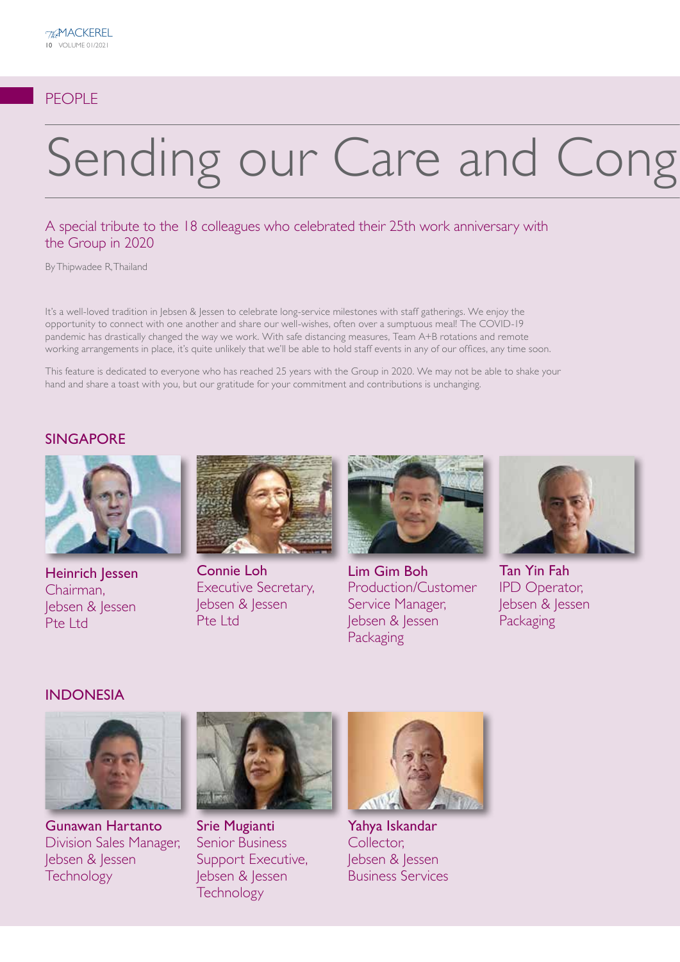## PEOPLE

# Sending our Care and Cong

#### A special tribute to the 18 colleagues who celebrated their 25th work anniversary with the Group in 2020

By Thipwadee R, Thailand

It's a well-loved tradition in Jebsen & Jessen to celebrate long-service milestones with staff gatherings. We enjoy the opportunity to connect with one another and share our well-wishes, often over a sumptuous meal! The COVID-19 pandemic has drastically changed the way we work. With safe distancing measures, Team A+B rotations and remote working arrangements in place, it's quite unlikely that we'll be able to hold staff events in any of our offices, any time soon.

This feature is dedicated to everyone who has reached 25 years with the Group in 2020. We may not be able to shake your hand and share a toast with you, but our gratitude for your commitment and contributions is unchanging.

#### SINGAPORE



Heinrich Jessen Chairman, Jebsen & Jessen Pte Ltd



Connie Loh Executive Secretary, Jebsen & Jessen Pte Ltd



Lim Gim Boh Production/Customer Service Manager, Jebsen & Jessen **Packaging** 



Tan Yin Fah IPD Operator, Jebsen & Jessen Packaging

#### INDONESIA



Gunawan Hartanto Division Sales Manager, Jebsen & Jessen **Technology** 



Srie Mugianti Senior Business Support Executive, Jebsen & Jessen **Technology** 



Yahya Iskandar Collector, Jebsen & Jessen Business Services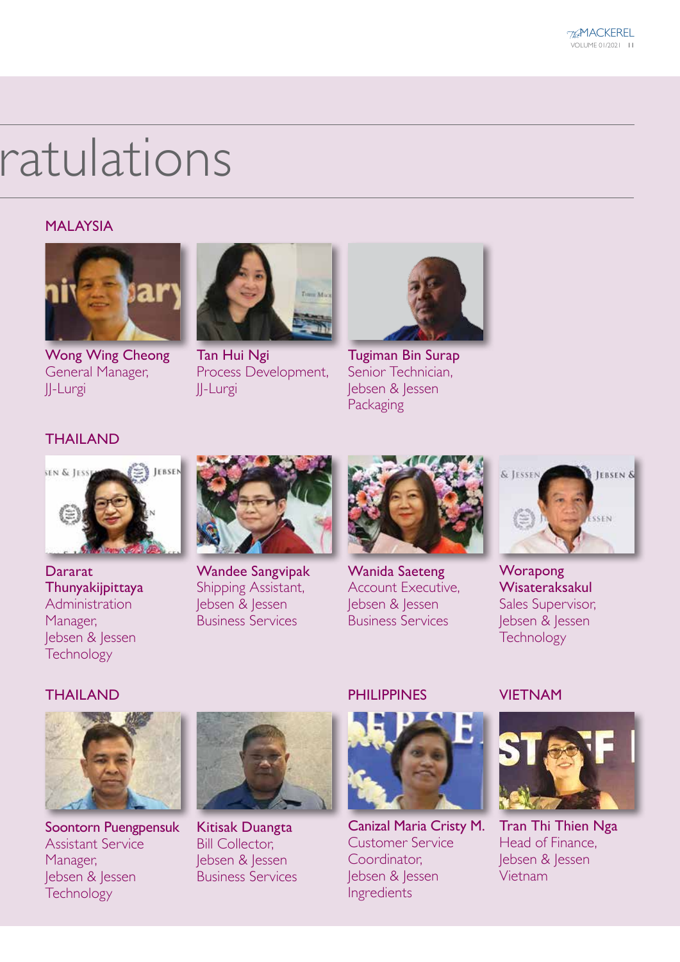# ratulations

### MALAYSIA



Wong Wing Cheong General Manager, JJ-Lurgi



Tan Hui Ngi Process Development, JJ-Lurgi



Tugiman Bin Surap Senior Technician, Jebsen & Jessen Packaging

## THAILAND



**Dararat** Thunyakijpittaya Administration Manager, Jebsen & Jessen **Technology** 



Wandee Sangvipak Shipping Assistant, Jebsen & Jessen Business Services



Wanida Saeteng Account Executive, Jebsen & Jessen Business Services



**Worapong** Wisateraksakul Sales Supervisor, Jebsen & Jessen **Technology** 

## **THAILAND**



Soontorn Puengpensuk Assistant Service Manager, Jebsen & Jessen **Technology** 



Kitisak Duangta Bill Collector, Jebsen & Jessen Business Services

### PHII IPPINES



Canizal Maria Cristy M. Customer Service Coordinator, Jebsen & Jessen Ingredients

### **VIFTNAM**



Tran Thi Thien Nga Head of Finance, Jebsen & Jessen Vietnam